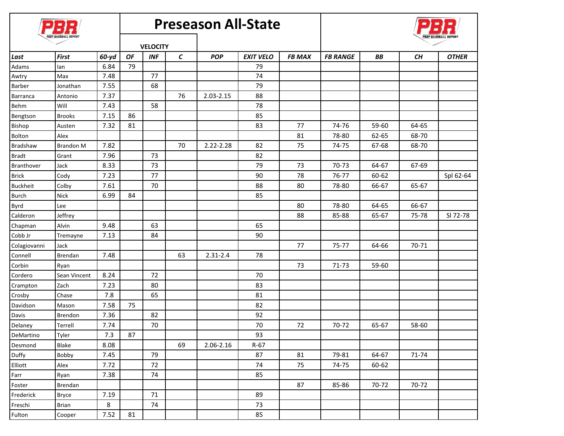|                 |                  |       | <b>Preseason All-State</b> |            |    |              |                  |               |                 |       |       |              |
|-----------------|------------------|-------|----------------------------|------------|----|--------------|------------------|---------------|-----------------|-------|-------|--------------|
|                 |                  |       | <b>VELOCITY</b>            |            |    |              |                  |               |                 |       |       |              |
| Last            | <b>First</b>     | 60-yd | OF                         | <b>INF</b> | C  | <b>POP</b>   | <b>EXIT VELO</b> | <b>FB MAX</b> | <b>FB RANGE</b> | ВB    | CН    | <b>OTHER</b> |
| Adams           | lan              | 6.84  | 79                         |            |    |              | 79               |               |                 |       |       |              |
| Awtry           | Max              | 7.48  |                            | 77         |    |              | 74               |               |                 |       |       |              |
| Barber          | Jonathan         | 7.55  |                            | 68         |    |              | 79               |               |                 |       |       |              |
| Barranca        | Antonio          | 7.37  |                            |            | 76 | 2.03-2.15    | 88               |               |                 |       |       |              |
| Behm            | Will             | 7.43  |                            | 58         |    |              | 78               |               |                 |       |       |              |
| Bengtson        | <b>Brooks</b>    | 7.15  | 86                         |            |    |              | 85               |               |                 |       |       |              |
| Bishop          | Austen           | 7.32  | 81                         |            |    |              | 83               | 77            | 74-76           | 59-60 | 64-65 |              |
| Bolton          | Alex             |       |                            |            |    |              |                  | 81            | 78-80           | 62-65 | 68-70 |              |
| Bradshaw        | <b>Brandon M</b> | 7.82  |                            |            | 70 | 2.22-2.28    | 82               | 75            | 74-75           | 67-68 | 68-70 |              |
| <b>Bradt</b>    | Grant            | 7.96  |                            | 73         |    |              | 82               |               |                 |       |       |              |
| Branthover      | Jack             | 8.33  |                            | 73         |    |              | 79               | 73            | 70-73           | 64-67 | 67-69 |              |
| <b>Brick</b>    | Cody             | 7.23  |                            | 77         |    |              | 90               | 78            | 76-77           | 60-62 |       | Spl 62-64    |
| <b>Buckheit</b> | Colby            | 7.61  |                            | 70         |    |              | 88               | 80            | 78-80           | 66-67 | 65-67 |              |
| <b>Burch</b>    | <b>Nick</b>      | 6.99  | 84                         |            |    |              | 85               |               |                 |       |       |              |
| Byrd            | Lee              |       |                            |            |    |              |                  | 80            | 78-80           | 64-65 | 66-67 |              |
| Calderon        | Jeffrey          |       |                            |            |    |              |                  | 88            | 85-88           | 65-67 | 75-78 | SI 72-78     |
| Chapman         | Alvin            | 9.48  |                            | 63         |    |              | 65               |               |                 |       |       |              |
| Cobb Jr         | Tremayne         | 7.13  |                            | 84         |    |              | 90               |               |                 |       |       |              |
| Colagiovanni    | Jack             |       |                            |            |    |              |                  | 77            | 75-77           | 64-66 | 70-71 |              |
| Connell         | Brendan          | 7.48  |                            |            | 63 | $2.31 - 2.4$ | 78               |               |                 |       |       |              |
| Corbin          | Ryan             |       |                            |            |    |              |                  | 73            | 71-73           | 59-60 |       |              |
| Cordero         | Sean Vincent     | 8.24  |                            | 72         |    |              | 70               |               |                 |       |       |              |
| Crampton        | Zach             | 7.23  |                            | 80         |    |              | 83               |               |                 |       |       |              |
| Crosby          | Chase            | 7.8   |                            | 65         |    |              | 81               |               |                 |       |       |              |
| Davidson        | Mason            | 7.58  | 75                         |            |    |              | 82               |               |                 |       |       |              |
| Davis           | <b>Brendon</b>   | 7.36  |                            | 82         |    |              | 92               |               |                 |       |       |              |
| Delaney         | Terrell          | 7.74  |                            | 70         |    |              | 70               | 72            | 70-72           | 65-67 | 58-60 |              |
| DeMartino       | Tyler            | 7.3   | 87                         |            |    |              | 93               |               |                 |       |       |              |
| Desmond         | Blake            | 8.08  |                            |            | 69 | 2.06-2.16    | $R-67$           |               |                 |       |       |              |
| Duffy           | Bobby            | 7.45  |                            | 79         |    |              | 87               | 81            | 79-81           | 64-67 | 71-74 |              |
| Elliott         | Alex             | 7.72  |                            | 72         |    |              | 74               | 75            | 74-75           | 60-62 |       |              |
| Farr            | Ryan             | 7.38  |                            | 74         |    |              | 85               |               |                 |       |       |              |
| Foster          | Brendan          |       |                            |            |    |              |                  | 87            | 85-86           | 70-72 | 70-72 |              |
| Frederick       | <b>Bryce</b>     | 7.19  |                            | 71         |    |              | 89               |               |                 |       |       |              |
| Freschi         | <b>Brian</b>     | 8     |                            | 74         |    |              | 73               |               |                 |       |       |              |
| Fulton          | Cooper           | 7.52  | 81                         |            |    |              | 85               |               |                 |       |       |              |
|                 |                  |       |                            |            |    |              |                  |               |                 |       |       |              |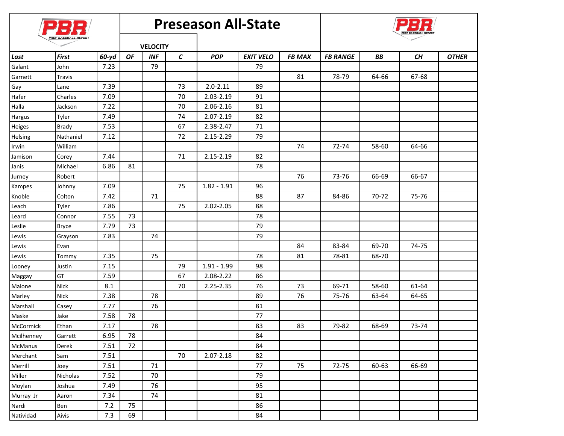|            | PREP BASEBALL REPORT |       |                 |            | <b>Preseason All-State</b> |               |                  |               |                 |       |       |              |  |
|------------|----------------------|-------|-----------------|------------|----------------------------|---------------|------------------|---------------|-----------------|-------|-------|--------------|--|
|            |                      |       | <b>VELOCITY</b> |            |                            |               |                  |               |                 |       |       |              |  |
| Last       | <b>First</b>         | 60-yd | OF              | <b>INF</b> | $\mathsf{C}\phantom{0}$    | <b>POP</b>    | <b>EXIT VELO</b> | <b>FB MAX</b> | <b>FB RANGE</b> | ВB    | CН    | <b>OTHER</b> |  |
| Galant     | John                 | 7.23  |                 | 79         |                            |               | 79               |               |                 |       |       |              |  |
| Garnett    | Travis               |       |                 |            |                            |               |                  | 81            | 78-79           | 64-66 | 67-68 |              |  |
| Gay        | Lane                 | 7.39  |                 |            | 73                         | $2.0 - 2.11$  | 89               |               |                 |       |       |              |  |
| Hafer      | Charles              | 7.09  |                 |            | 70                         | 2.03-2.19     | 91               |               |                 |       |       |              |  |
| Halla      | Jackson              | 7.22  |                 |            | 70                         | 2.06-2.16     | 81               |               |                 |       |       |              |  |
| Hargus     | Tyler                | 7.49  |                 |            | 74                         | 2.07-2.19     | 82               |               |                 |       |       |              |  |
| Heiges     | Brady                | 7.53  |                 |            | 67                         | 2.38-2.47     | 71               |               |                 |       |       |              |  |
| Helsing    | Nathaniel            | 7.12  |                 |            | 72                         | 2.15-2.29     | 79               |               |                 |       |       |              |  |
| Irwin      | William              |       |                 |            |                            |               |                  | 74            | 72-74           | 58-60 | 64-66 |              |  |
| Jamison    | Corey                | 7.44  |                 |            | 71                         | 2.15-2.19     | 82               |               |                 |       |       |              |  |
| Janis      | Michael              | 6.86  | 81              |            |                            |               | 78               |               |                 |       |       |              |  |
| Jurney     | Robert               |       |                 |            |                            |               |                  | 76            | 73-76           | 66-69 | 66-67 |              |  |
| Kampes     | Johnny               | 7.09  |                 |            | 75                         | $1.82 - 1.91$ | 96               |               |                 |       |       |              |  |
| Knoble     | Colton               | 7.42  |                 | 71         |                            |               | 88               | 87            | 84-86           | 70-72 | 75-76 |              |  |
| Leach      | Tyler                | 7.86  |                 |            | 75                         | 2.02-2.05     | 88               |               |                 |       |       |              |  |
| Leard      | Connor               | 7.55  | 73              |            |                            |               | 78               |               |                 |       |       |              |  |
| Leslie     | <b>Bryce</b>         | 7.79  | 73              |            |                            |               | 79               |               |                 |       |       |              |  |
| Lewis      | Grayson              | 7.83  |                 | 74         |                            |               | 79               |               |                 |       |       |              |  |
| Lewis      | Evan                 |       |                 |            |                            |               |                  | 84            | 83-84           | 69-70 | 74-75 |              |  |
| Lewis      | Tommy                | 7.35  |                 | 75         |                            |               | 78               | 81            | 78-81           | 68-70 |       |              |  |
| Looney     | Justin               | 7.15  |                 |            | 79                         | $1.91 - 1.99$ | 98               |               |                 |       |       |              |  |
| Maggay     | GT                   | 7.59  |                 |            | 67                         | 2.08-2.22     | 86               |               |                 |       |       |              |  |
| Malone     | <b>Nick</b>          | 8.1   |                 |            | 70                         | 2.25-2.35     | 76               | 73            | 69-71           | 58-60 | 61-64 |              |  |
| Marley     | Nick                 | 7.38  |                 | 78         |                            |               | 89               | 76            | 75-76           | 63-64 | 64-65 |              |  |
| Marshall   | Casey                | 7.77  |                 | 76         |                            |               | 81               |               |                 |       |       |              |  |
| Maske      | Jake                 | 7.58  | 78              |            |                            |               | 77               |               |                 |       |       |              |  |
| McCormick  | Ethan                | 7.17  |                 | 78         |                            |               | 83               | 83            | 79-82           | 68-69 | 73-74 |              |  |
| Mcilhenney | Garrett              | 6.95  | 78              |            |                            |               | 84               |               |                 |       |       |              |  |
| McManus    | Derek                | 7.51  | 72              |            |                            |               | 84               |               |                 |       |       |              |  |
| Merchant   | Sam                  | 7.51  |                 |            | 70                         | 2.07-2.18     | 82               |               |                 |       |       |              |  |
| Merrill    | Joey                 | 7.51  |                 | 71         |                            |               | 77               | 75            | 72-75           | 60-63 | 66-69 |              |  |
| Miller     | Nicholas             | 7.52  |                 | $70\,$     |                            |               | 79               |               |                 |       |       |              |  |
| Moylan     | Joshua               | 7.49  |                 | 76         |                            |               | 95               |               |                 |       |       |              |  |
| Murray Jr  | Aaron                | 7.34  |                 | 74         |                            |               | 81               |               |                 |       |       |              |  |
| Nardi      | Ben                  | 7.2   | 75              |            |                            |               | 86               |               |                 |       |       |              |  |
| Natividad  | Aivis                | 7.3   | 69              |            |                            |               | 84               |               |                 |       |       |              |  |